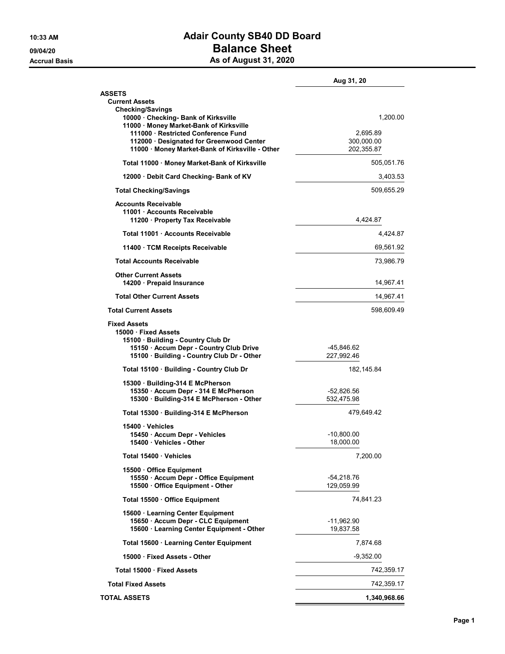## 10:33 AM **Adair County SB40 DD Board** 09/04/20 **Balance Sheet** Accrual Basis **Accrual Basis** As of August 31, 2020

|                                                                                                                                                                        | Aug 31, 20               |
|------------------------------------------------------------------------------------------------------------------------------------------------------------------------|--------------------------|
| <b>ASSETS</b>                                                                                                                                                          |                          |
| <b>Current Assets</b><br><b>Checking/Savings</b>                                                                                                                       |                          |
| 10000 Checking- Bank of Kirksville<br>11000 · Money Market-Bank of Kirksville                                                                                          | 1,200.00                 |
| 111000 · Restricted Conference Fund                                                                                                                                    | 2,695.89                 |
| 112000 · Designated for Greenwood Center<br>11000 Money Market-Bank of Kirksville - Other                                                                              | 300,000.00<br>202,355.87 |
| Total 11000 · Money Market-Bank of Kirksville                                                                                                                          | 505,051.76               |
| 12000 Debit Card Checking- Bank of KV                                                                                                                                  | 3,403.53                 |
| <b>Total Checking/Savings</b>                                                                                                                                          | 509,655.29               |
| <b>Accounts Receivable</b><br>11001 Accounts Receivable<br>11200 Property Tax Receivable                                                                               | 4,424.87                 |
| Total 11001 Accounts Receivable                                                                                                                                        | 4,424.87                 |
| 11400 TCM Receipts Receivable                                                                                                                                          | 69,561.92                |
| <b>Total Accounts Receivable</b>                                                                                                                                       | 73,986.79                |
| <b>Other Current Assets</b><br>14200 Prepaid Insurance                                                                                                                 | 14,967.41                |
| <b>Total Other Current Assets</b>                                                                                                                                      | 14,967.41                |
| <b>Total Current Assets</b>                                                                                                                                            | 598,609.49               |
| <b>Fixed Assets</b><br>15000 Fixed Assets<br>15100 Building - Country Club Dr<br>15150 · Accum Depr - Country Club Drive<br>15100 · Building - Country Club Dr - Other | -45,846.62<br>227,992.46 |
| Total 15100 Building - Country Club Dr                                                                                                                                 | 182, 145.84              |
|                                                                                                                                                                        |                          |
| 15300 Building-314 E McPherson<br>15350 · Accum Depr - 314 E McPherson                                                                                                 | -52,826.56               |
| 15300 · Building-314 E McPherson - Other                                                                                                                               | 532,475.98               |
| Total 15300 · Building-314 E McPherson                                                                                                                                 | 479,649.42               |
| 15400 Vehicles                                                                                                                                                         |                          |
| 15450 · Accum Depr - Vehicles<br>15400 · Venicles - Other                                                                                                              | -10,800.00<br>18,000.00  |
| Total 15400 Vehicles                                                                                                                                                   | 7,200.00                 |
| 15500 Office Equipment                                                                                                                                                 |                          |
| 15550 · Accum Depr - Office Equipment<br>15500 Office Equipment - Other                                                                                                | -54,218.76<br>129,059.99 |
| Total 15500 · Office Equipment                                                                                                                                         | 74,841.23                |
| 15600 · Learning Center Equipment                                                                                                                                      |                          |
| 15650 · Accum Depr - CLC Equipment<br>15600 · Learning Center Equipment - Other                                                                                        | -11,962.90<br>19,837.58  |
| Total 15600 · Learning Center Equipment                                                                                                                                | 7,874.68                 |
| 15000 Fixed Assets - Other                                                                                                                                             | $-9,352.00$              |
| Total 15000 · Fixed Assets                                                                                                                                             | 742,359.17               |
| <b>Total Fixed Assets</b>                                                                                                                                              | 742,359.17               |
| <b>TOTAL ASSETS</b>                                                                                                                                                    | 1,340,968.66             |